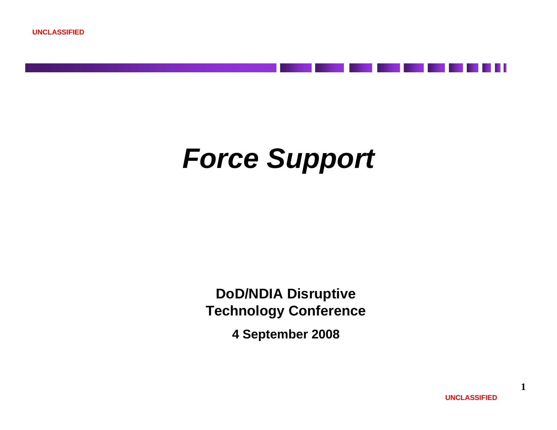

**DoD/NDIA Disruptive Technology Conference**

**4 September 2008**

**UNCLASSIFIED**

**1**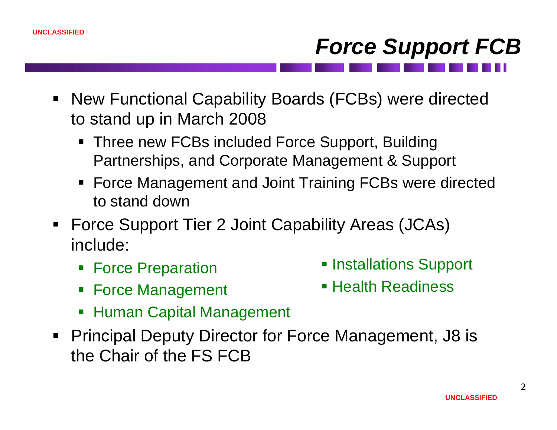# *Force Support FCB*

- New Functional Capability Boards (FCBs) were directed to stand up in March 2008
	- Three new FCBs included Force Support, Building Partnerships, and Corporate Management & Support
	- Force Management and Joint Training FCBs were directed to stand down
- Force Support Tier 2 Joint Capability Areas (JCAs) include:
	- **Force Preparation**
	- **Force Management**
- **Installations Support**
- Health Readiness
- $\overline{\phantom{a}}$ Human Capital Management
- Principal Deputy Director for Force Management, J8 is the Chair of the FS FCB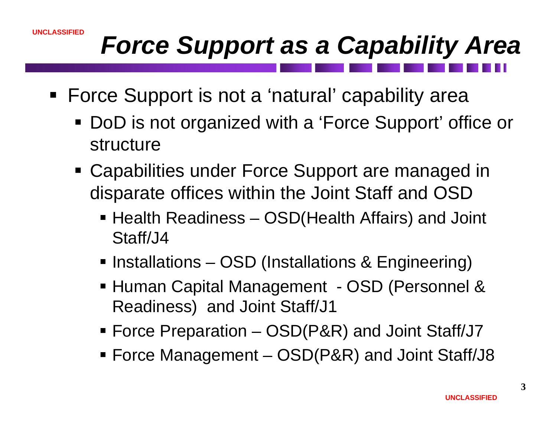#### **UNCLASSIFIED**

## *Force Support as a Capability Area*

- Force Support is not a 'natural' capability area
	- DoD is not organized with a 'Force Support' office or structure
	- Capabilities under Force Support are managed in disparate offices within the Joint Staff and OSD
		- Health Readiness OSD(Health Affairs) and Joint Staff/J4
		- **Installations OSD (Installations & Engineering)**
		- Human Capital Management OSD (Personnel & Readiness) and Joint Staff/J1
		- Force Preparation OSD(P&R) and Joint Staff/J7
		- Force Management OSD(P&R) and Joint Staff/J8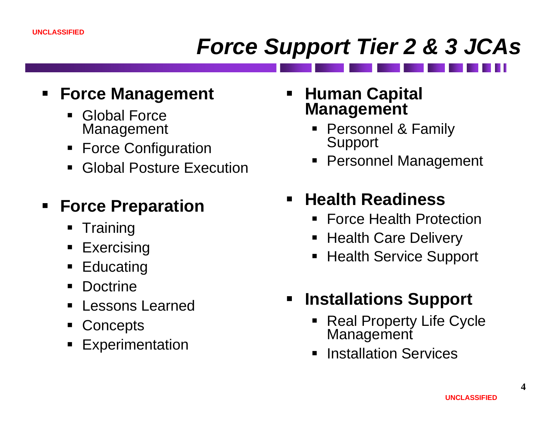### *Force Support Tier 2 & 3 JCAs*

#### **Force Management**

- Global Force Management
- **Force Configuration**
- $\blacksquare$ Global Posture Execution

#### ٠ **Force Preparation**

- $\blacksquare$ **Training**
- $\blacksquare$ **Exercising**
- $\blacksquare$ Educating
- $\blacksquare$ Doctrine
- $\blacksquare$ Lessons Learned
- $\blacksquare$ **Concepts**
- ٠ Experimentation
- E **Human Capital Management**
	- Personnel & Family Support
	- $\blacksquare$ Personnel Management

#### $\blacksquare$ **Health Readiness**

- $\blacksquare$ Force Health Protection
- Health Care Delivery
- ٠ Health Service Support
- $\blacksquare$  **Installations Support**
	- $\blacksquare$ Real Property Life Cycle Management
	- Installation Services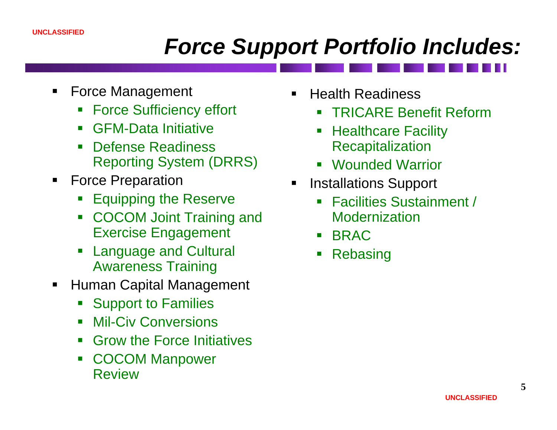### *Force Support Portfolio Includes:*

- ш Force Management
	- $\blacksquare$ Force Sufficiency effort
	- $\overline{\phantom{a}}$ GFM-Data Initiative
	- $\blacksquare$  Defense Readiness Reporting System (DRRS)
- ш Force Preparation
	- p. Equipping the Reserve
	- $\mathbb{R}^3$  COCOM Joint Training and Exercise Engagement
	- $\mathbb{R}^3$  Language and Cultural Awareness Training
- П Human Capital Management
	- $\blacksquare$  . Support to Families
	- $\overline{\phantom{a}}$ Mil-Civ Conversions
	- $\mathbb{R}^3$ Grow the Force Initiatives
	- $\overline{\phantom{a}}$  COCOM Manpower Review
- Health Readiness
	- $\mathcal{L}_{\mathcal{A}}$ TRICARE Benefit Reform
	- $\overline{\mathbb{R}}$  Healthcare Facility **Recapitalization**
	- Wounded Warrior
- Installations Support
	- $\blacksquare$  Facilities Sustainment / Modernization
	- $\blacksquare$ BRAC
	- Rebasing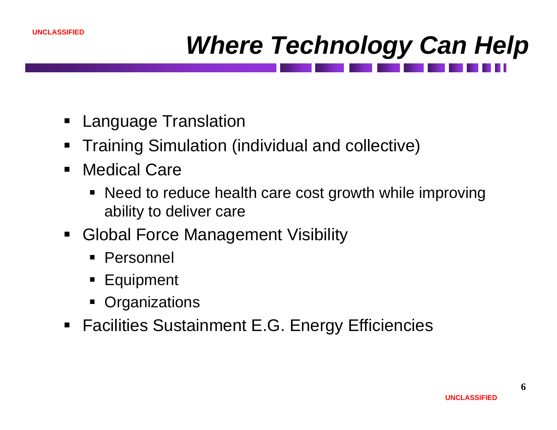

## *Where Technology Can Help*

- Language Translation
- $\blacksquare$ Training Simulation (individual and collective)
- $\blacksquare$  Medical Care
	- Need to reduce health care cost growth while improving ability to deliver care
- $\blacksquare$  Global Force Management Visibility
	- Personnel
	- **Equipment**
	- П **Organizations**
- **Facilities Sustainment E.G. Energy Efficiencies**